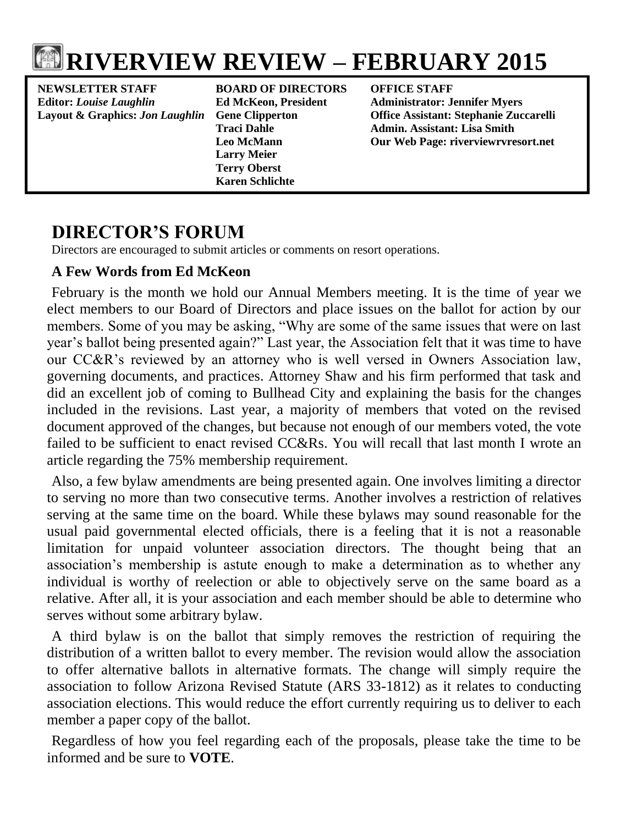

**NEWSLETTER STAFF BOARD OF DIRECTORS OFFICE STAFF Editor:** *Louise Laughlin* **Ed McKeon, President Administrator: Jennifer Myers**

**Larry Meier Terry Oberst Karen Schlichte**

**Layout & Graphics:** *Jon Laughlin* **Gene Clipperton Office Assistant: Stephanie Zuccarelli Traci Dahle Admin. Assistant: Lisa Smith Leo McMann Our Web Page: riverviewrvresort.net**

# **DIRECTOR'S FORUM**

Directors are encouraged to submit articles or comments on resort operations.

# **A Few Words from Ed McKeon**

February is the month we hold our Annual Members meeting. It is the time of year we elect members to our Board of Directors and place issues on the ballot for action by our members. Some of you may be asking, "Why are some of the same issues that were on last year's ballot being presented again?" Last year, the Association felt that it was time to have our CC&R's reviewed by an attorney who is well versed in Owners Association law, governing documents, and practices. Attorney Shaw and his firm performed that task and did an excellent job of coming to Bullhead City and explaining the basis for the changes included in the revisions. Last year, a majority of members that voted on the revised document approved of the changes, but because not enough of our members voted, the vote failed to be sufficient to enact revised CC&Rs. You will recall that last month I wrote an article regarding the 75% membership requirement.

Also, a few bylaw amendments are being presented again. One involves limiting a director to serving no more than two consecutive terms. Another involves a restriction of relatives serving at the same time on the board. While these bylaws may sound reasonable for the usual paid governmental elected officials, there is a feeling that it is not a reasonable limitation for unpaid volunteer association directors. The thought being that an association's membership is astute enough to make a determination as to whether any individual is worthy of reelection or able to objectively serve on the same board as a relative. After all, it is your association and each member should be able to determine who serves without some arbitrary bylaw.

A third bylaw is on the ballot that simply removes the restriction of requiring the distribution of a written ballot to every member. The revision would allow the association to offer alternative ballots in alternative formats. The change will simply require the association to follow Arizona Revised Statute (ARS 33-1812) as it relates to conducting association elections. This would reduce the effort currently requiring us to deliver to each member a paper copy of the ballot.

Regardless of how you feel regarding each of the proposals, please take the time to be informed and be sure to **VOTE**.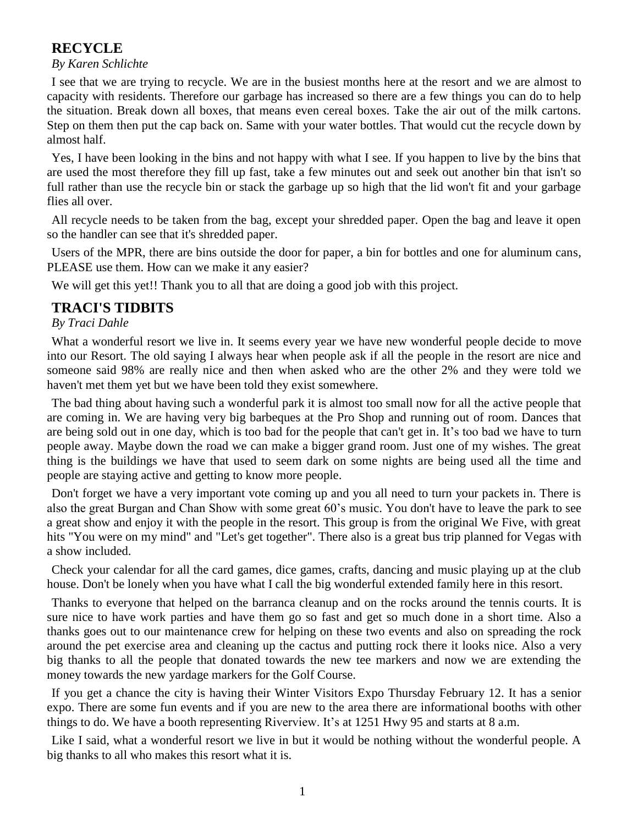## **RECYCLE**

#### *By Karen Schlichte*

I see that we are trying to recycle. We are in the busiest months here at the resort and we are almost to capacity with residents. Therefore our garbage has increased so there are a few things you can do to help the situation. Break down all boxes, that means even cereal boxes. Take the air out of the milk cartons. Step on them then put the cap back on. Same with your water bottles. That would cut the recycle down by almost half.

Yes, I have been looking in the bins and not happy with what I see. If you happen to live by the bins that are used the most therefore they fill up fast, take a few minutes out and seek out another bin that isn't so full rather than use the recycle bin or stack the garbage up so high that the lid won't fit and your garbage flies all over.

All recycle needs to be taken from the bag, except your shredded paper. Open the bag and leave it open so the handler can see that it's shredded paper.

Users of the MPR, there are bins outside the door for paper, a bin for bottles and one for aluminum cans, PLEASE use them. How can we make it any easier?

We will get this yet!! Thank you to all that are doing a good job with this project.

## **TRACI'S TIDBITS**

### *By Traci Dahle*

What a wonderful resort we live in. It seems every year we have new wonderful people decide to move into our Resort. The old saying I always hear when people ask if all the people in the resort are nice and someone said 98% are really nice and then when asked who are the other 2% and they were told we haven't met them yet but we have been told they exist somewhere.

The bad thing about having such a wonderful park it is almost too small now for all the active people that are coming in. We are having very big barbeques at the Pro Shop and running out of room. Dances that are being sold out in one day, which is too bad for the people that can't get in. It's too bad we have to turn people away. Maybe down the road we can make a bigger grand room. Just one of my wishes. The great thing is the buildings we have that used to seem dark on some nights are being used all the time and people are staying active and getting to know more people.

Don't forget we have a very important vote coming up and you all need to turn your packets in. There is also the great Burgan and Chan Show with some great 60's music. You don't have to leave the park to see a great show and enjoy it with the people in the resort. This group is from the original We Five, with great hits "You were on my mind" and "Let's get together". There also is a great bus trip planned for Vegas with a show included.

Check your calendar for all the card games, dice games, crafts, dancing and music playing up at the club house. Don't be lonely when you have what I call the big wonderful extended family here in this resort.

Thanks to everyone that helped on the barranca cleanup and on the rocks around the tennis courts. It is sure nice to have work parties and have them go so fast and get so much done in a short time. Also a thanks goes out to our maintenance crew for helping on these two events and also on spreading the rock around the pet exercise area and cleaning up the cactus and putting rock there it looks nice. Also a very big thanks to all the people that donated towards the new tee markers and now we are extending the money towards the new yardage markers for the Golf Course.

If you get a chance the city is having their Winter Visitors Expo Thursday February 12. It has a senior expo. There are some fun events and if you are new to the area there are informational booths with other things to do. We have a booth representing Riverview. It's at 1251 Hwy 95 and starts at 8 a.m.

Like I said, what a wonderful resort we live in but it would be nothing without the wonderful people. A big thanks to all who makes this resort what it is.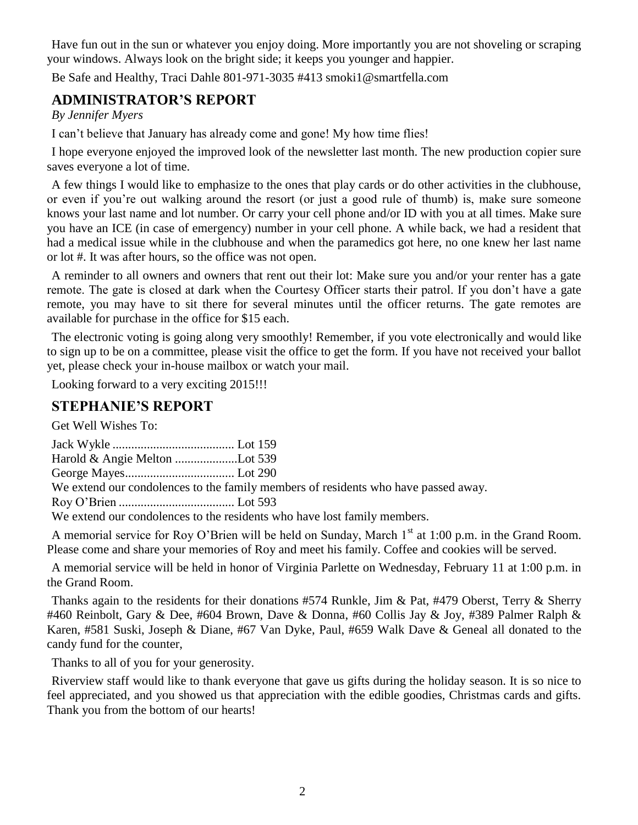Have fun out in the sun or whatever you enjoy doing. More importantly you are not shoveling or scraping your windows. Always look on the bright side; it keeps you younger and happier.

Be Safe and Healthy, Traci Dahle 801-971-3035 #413 smoki1@smartfella.com

# **ADMINISTRATOR'S REPORT**

*By Jennifer Myers*

I can't believe that January has already come and gone! My how time flies!

I hope everyone enjoyed the improved look of the newsletter last month. The new production copier sure saves everyone a lot of time.

A few things I would like to emphasize to the ones that play cards or do other activities in the clubhouse, or even if you're out walking around the resort (or just a good rule of thumb) is, make sure someone knows your last name and lot number. Or carry your cell phone and/or ID with you at all times. Make sure you have an ICE (in case of emergency) number in your cell phone. A while back, we had a resident that had a medical issue while in the clubhouse and when the paramedics got here, no one knew her last name or lot #. It was after hours, so the office was not open.

A reminder to all owners and owners that rent out their lot: Make sure you and/or your renter has a gate remote. The gate is closed at dark when the Courtesy Officer starts their patrol. If you don't have a gate remote, you may have to sit there for several minutes until the officer returns. The gate remotes are available for purchase in the office for \$15 each.

The electronic voting is going along very smoothly! Remember, if you vote electronically and would like to sign up to be on a committee, please visit the office to get the form. If you have not received your ballot yet, please check your in-house mailbox or watch your mail.

Looking forward to a very exciting 2015!!!

## **STEPHANIE'S REPORT**

Get Well Wishes To:

| We extend our condolences to the family members of residents who have passed away. |
|------------------------------------------------------------------------------------|
|                                                                                    |
| We extend our condolences to the residents who have lost family members.           |

A memorial service for Roy O'Brien will be held on Sunday, March  $1<sup>st</sup>$  at 1:00 p.m. in the Grand Room. Please come and share your memories of Roy and meet his family. Coffee and cookies will be served.

A memorial service will be held in honor of Virginia Parlette on Wednesday, February 11 at 1:00 p.m. in the Grand Room.

Thanks again to the residents for their donations #574 Runkle, Jim & Pat, #479 Oberst, Terry & Sherry #460 Reinbolt, Gary & Dee, #604 Brown, Dave & Donna, #60 Collis Jay & Joy, #389 Palmer Ralph & Karen, #581 Suski, Joseph & Diane, #67 Van Dyke, Paul, #659 Walk Dave & Geneal all donated to the candy fund for the counter,

Thanks to all of you for your generosity.

Riverview staff would like to thank everyone that gave us gifts during the holiday season. It is so nice to feel appreciated, and you showed us that appreciation with the edible goodies, Christmas cards and gifts. Thank you from the bottom of our hearts!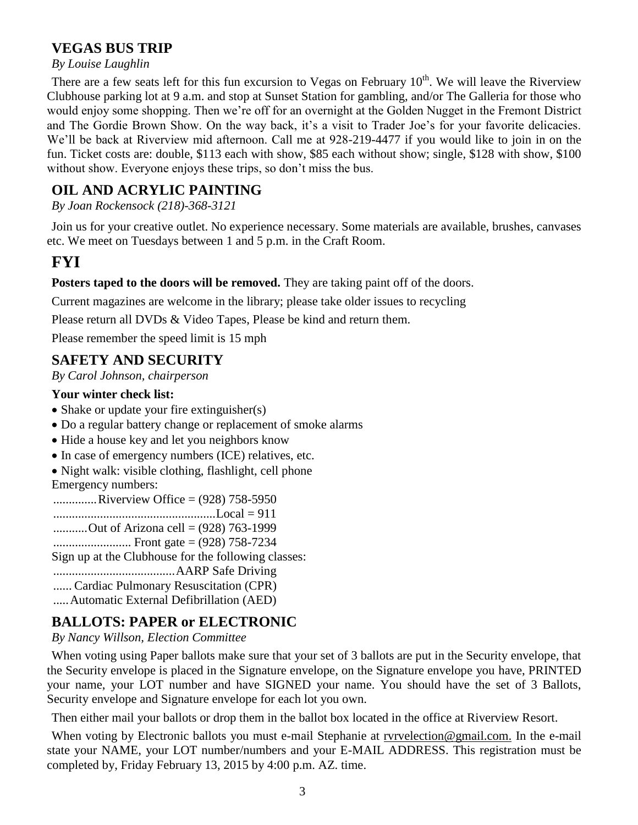## **VEGAS BUS TRIP**

#### *By Louise Laughlin*

There are a few seats left for this fun excursion to Vegas on February  $10<sup>th</sup>$ . We will leave the Riverview Clubhouse parking lot at 9 a.m. and stop at Sunset Station for gambling, and/or The Galleria for those who would enjoy some shopping. Then we're off for an overnight at the Golden Nugget in the Fremont District and The Gordie Brown Show. On the way back, it's a visit to Trader Joe's for your favorite delicacies. We'll be back at Riverview mid afternoon. Call me at 928-219-4477 if you would like to join in on the fun. Ticket costs are: double, \$113 each with show, \$85 each without show; single, \$128 with show, \$100 without show. Everyone enjoys these trips, so don't miss the bus.

# **OIL AND ACRYLIC PAINTING**

*By Joan Rockensock (218)-368-3121*

Join us for your creative outlet. No experience necessary. Some materials are available, brushes, canvases etc. We meet on Tuesdays between 1 and 5 p.m. in the Craft Room.

# **FYI**

### **Posters taped to the doors will be removed.** They are taking paint off of the doors.

Current magazines are welcome in the library; please take older issues to recycling

Please return all DVDs & Video Tapes, Please be kind and return them.

Please remember the speed limit is 15 mph

## **SAFETY AND SECURITY**

*By Carol Johnson, chairperson*

### **Your winter check list:**

- Shake or update your fire extinguisher(s)
- Do a regular battery change or replacement of smoke alarms
- Hide a house key and let you neighbors know
- In case of emergency numbers (ICE) relatives, etc.
- Night walk: visible clothing, flashlight, cell phone

Emergency numbers:

..............Riverview Office = (928) 758-5950

....................................................Local = 911

- ...........Out of Arizona cell = (928) 763-1999
- ......................... Front gate = (928) 758-7234

Sign up at the Clubhouse for the following classes:

.......................................AARP Safe Driving

...... Cardiac Pulmonary Resuscitation (CPR)

.....Automatic External Defibrillation (AED)

# **BALLOTS: PAPER or ELECTRONIC**

### *By Nancy Willson, Election Committee*

When voting using Paper ballots make sure that your set of 3 ballots are put in the Security envelope, that the Security envelope is placed in the Signature envelope, on the Signature envelope you have, PRINTED your name, your LOT number and have SIGNED your name. You should have the set of 3 Ballots, Security envelope and Signature envelope for each lot you own.

Then either mail your ballots or drop them in the ballot box located in the office at Riverview Resort.

When voting by Electronic ballots you must e-mail Stephanie at [rvrvelection@gmail.com.](mailto:rvrvelection@gmail.com) In the e-mail state your NAME, your LOT number/numbers and your E-MAIL ADDRESS. This registration must be completed by, Friday February 13, 2015 by 4:00 p.m. AZ. time.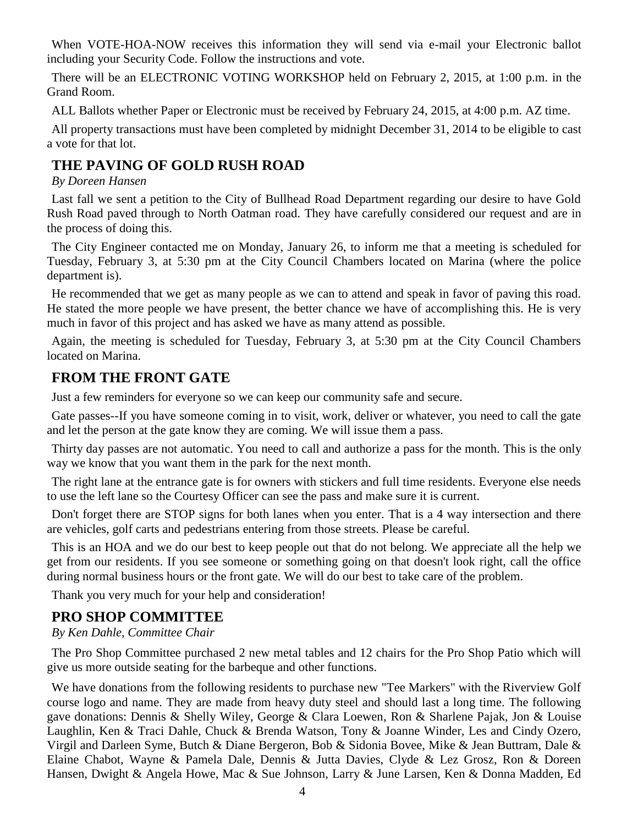When VOTE-HOA-NOW receives this information they will send via e-mail your Electronic ballot including your Security Code. Follow the instructions and vote.

There will be an ELECTRONIC VOTING WORKSHOP held on February 2, 2015, at 1:00 p.m. in the Grand Room.

ALL Ballots whether Paper or Electronic must be received by February 24, 2015, at 4:00 p.m. AZ time.

All property transactions must have been completed by midnight December 31, 2014 to be eligible to cast a vote for that lot.

# **THE PAVING OF GOLD RUSH ROAD**

#### *By Doreen Hansen*

Last fall we sent a petition to the City of Bullhead Road Department regarding our desire to have Gold Rush Road paved through to North Oatman road. They have carefully considered our request and are in the process of doing this.

The City Engineer contacted me on Monday, January 26, to inform me that a meeting is scheduled for Tuesday, February 3, at 5:30 pm at the City Council Chambers located on Marina (where the police department is).

He recommended that we get as many people as we can to attend and speak in favor of paving this road. He stated the more people we have present, the better chance we have of accomplishing this. He is very much in favor of this project and has asked we have as many attend as possible.

Again, the meeting is scheduled for Tuesday, February 3, at 5:30 pm at the City Council Chambers located on Marina.

## **FROM THE FRONT GATE**

Just a few reminders for everyone so we can keep our community safe and secure.

Gate passes--If you have someone coming in to visit, work, deliver or whatever, you need to call the gate and let the person at the gate know they are coming. We will issue them a pass.

Thirty day passes are not automatic. You need to call and authorize a pass for the month. This is the only way we know that you want them in the park for the next month.

The right lane at the entrance gate is for owners with stickers and full time residents. Everyone else needs to use the left lane so the Courtesy Officer can see the pass and make sure it is current.

Don't forget there are STOP signs for both lanes when you enter. That is a 4 way intersection and there are vehicles, golf carts and pedestrians entering from those streets. Please be careful.

This is an HOA and we do our best to keep people out that do not belong. We appreciate all the help we get from our residents. If you see someone or something going on that doesn't look right, call the office during normal business hours or the front gate. We will do our best to take care of the problem.

Thank you very much for your help and consideration!

## **PRO SHOP COMMITTEE**

### *By Ken Dahle, Committee Chair*

The Pro Shop Committee purchased 2 new metal tables and 12 chairs for the Pro Shop Patio which will give us more outside seating for the barbeque and other functions.

We have donations from the following residents to purchase new "Tee Markers" with the Riverview Golf course logo and name. They are made from heavy duty steel and should last a long time. The following gave donations: Dennis & Shelly Wiley, George & Clara Loewen, Ron & Sharlene Pajak, Jon & Louise Laughlin, Ken & Traci Dahle, Chuck & Brenda Watson, Tony & Joanne Winder, Les and Cindy Ozero, Virgil and Darleen Syme, Butch & Diane Bergeron, Bob & Sidonia Bovee, Mike & Jean Buttram, Dale & Elaine Chabot, Wayne & Pamela Dale, Dennis & Jutta Davies, Clyde & Lez Grosz, Ron & Doreen Hansen, Dwight & Angela Howe, Mac & Sue Johnson, Larry & June Larsen, Ken & Donna Madden, Ed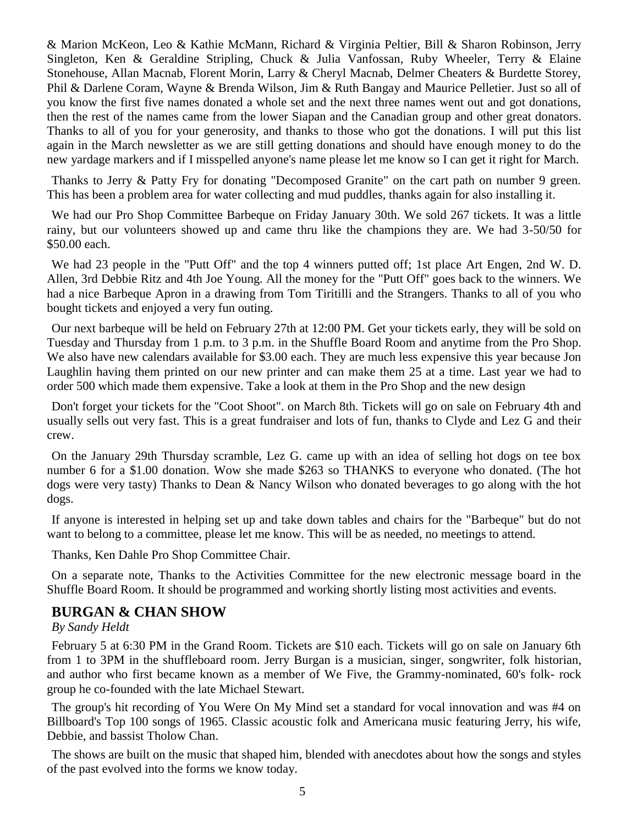& Marion McKeon, Leo & Kathie McMann, Richard & Virginia Peltier, Bill & Sharon Robinson, Jerry Singleton, Ken & Geraldine Stripling, Chuck & Julia Vanfossan, Ruby Wheeler, Terry & Elaine Stonehouse, Allan Macnab, Florent Morin, Larry & Cheryl Macnab, Delmer Cheaters & Burdette Storey, Phil & Darlene Coram, Wayne & Brenda Wilson, Jim & Ruth Bangay and Maurice Pelletier. Just so all of you know the first five names donated a whole set and the next three names went out and got donations, then the rest of the names came from the lower Siapan and the Canadian group and other great donators. Thanks to all of you for your generosity, and thanks to those who got the donations. I will put this list again in the March newsletter as we are still getting donations and should have enough money to do the new yardage markers and if I misspelled anyone's name please let me know so I can get it right for March.

Thanks to Jerry & Patty Fry for donating "Decomposed Granite" on the cart path on number 9 green. This has been a problem area for water collecting and mud puddles, thanks again for also installing it.

We had our Pro Shop Committee Barbeque on Friday January 30th. We sold 267 tickets. It was a little rainy, but our volunteers showed up and came thru like the champions they are. We had 3-50/50 for \$50.00 each.

We had 23 people in the "Putt Off" and the top 4 winners putted off; 1st place Art Engen, 2nd W. D. Allen, 3rd Debbie Ritz and 4th Joe Young. All the money for the "Putt Off" goes back to the winners. We had a nice Barbeque Apron in a drawing from Tom Tiritilli and the Strangers. Thanks to all of you who bought tickets and enjoyed a very fun outing.

Our next barbeque will be held on February 27th at 12:00 PM. Get your tickets early, they will be sold on Tuesday and Thursday from 1 p.m. to 3 p.m. in the Shuffle Board Room and anytime from the Pro Shop. We also have new calendars available for \$3.00 each. They are much less expensive this year because Jon Laughlin having them printed on our new printer and can make them 25 at a time. Last year we had to order 500 which made them expensive. Take a look at them in the Pro Shop and the new design

Don't forget your tickets for the "Coot Shoot". on March 8th. Tickets will go on sale on February 4th and usually sells out very fast. This is a great fundraiser and lots of fun, thanks to Clyde and Lez G and their crew.

On the January 29th Thursday scramble, Lez G. came up with an idea of selling hot dogs on tee box number 6 for a \$1.00 donation. Wow she made \$263 so THANKS to everyone who donated. (The hot dogs were very tasty) Thanks to Dean & Nancy Wilson who donated beverages to go along with the hot dogs.

If anyone is interested in helping set up and take down tables and chairs for the "Barbeque" but do not want to belong to a committee, please let me know. This will be as needed, no meetings to attend.

Thanks, Ken Dahle Pro Shop Committee Chair.

On a separate note, Thanks to the Activities Committee for the new electronic message board in the Shuffle Board Room. It should be programmed and working shortly listing most activities and events.

## **BURGAN & CHAN SHOW**

### *By Sandy Heldt*

February 5 at 6:30 PM in the Grand Room. Tickets are \$10 each. Tickets will go on sale on January 6th from 1 to 3PM in the shuffleboard room. Jerry Burgan is a musician, singer, songwriter, folk historian, and author who first became known as a member of We Five, the Grammy-nominated, 60's folk- rock group he co-founded with the late Michael Stewart.

The group's hit recording of You Were On My Mind set a standard for vocal innovation and was #4 on Billboard's Top 100 songs of 1965. Classic acoustic folk and Americana music featuring Jerry, his wife, Debbie, and bassist Tholow Chan.

The shows are built on the music that shaped him, blended with anecdotes about how the songs and styles of the past evolved into the forms we know today.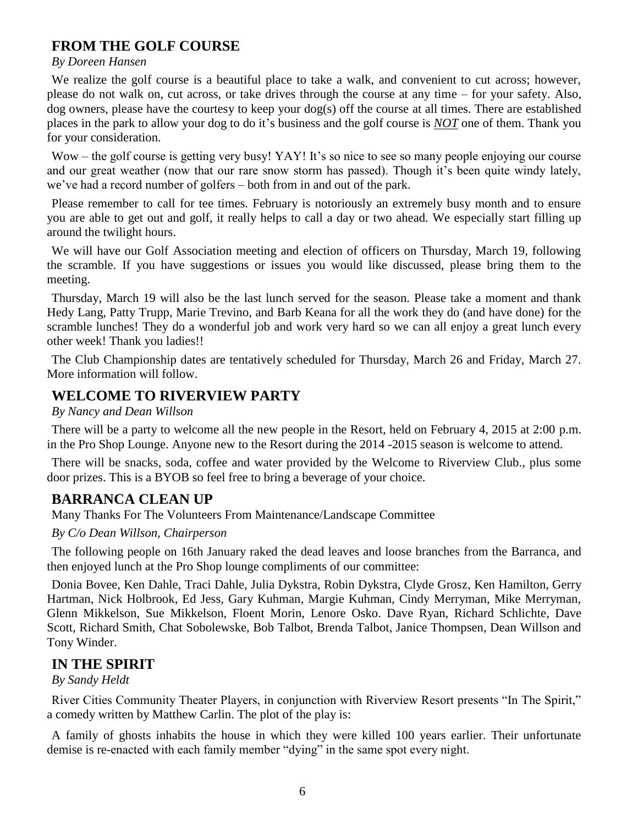# **FROM THE GOLF COURSE**

#### *By Doreen Hansen*

We realize the golf course is a beautiful place to take a walk, and convenient to cut across; however, please do not walk on, cut across, or take drives through the course at any time – for your safety. Also, dog owners, please have the courtesy to keep your dog(s) off the course at all times. There are established places in the park to allow your dog to do it's business and the golf course is *NOT* one of them. Thank you for your consideration.

Wow – the golf course is getting very busy! YAY! It's so nice to see so many people enjoying our course and our great weather (now that our rare snow storm has passed). Though it's been quite windy lately, we've had a record number of golfers – both from in and out of the park.

Please remember to call for tee times. February is notoriously an extremely busy month and to ensure you are able to get out and golf, it really helps to call a day or two ahead. We especially start filling up around the twilight hours.

We will have our Golf Association meeting and election of officers on Thursday, March 19, following the scramble. If you have suggestions or issues you would like discussed, please bring them to the meeting.

Thursday, March 19 will also be the last lunch served for the season. Please take a moment and thank Hedy Lang, Patty Trupp, Marie Trevino, and Barb Keana for all the work they do (and have done) for the scramble lunches! They do a wonderful job and work very hard so we can all enjoy a great lunch every other week! Thank you ladies!!

The Club Championship dates are tentatively scheduled for Thursday, March 26 and Friday, March 27. More information will follow.

## **WELCOME TO RIVERVIEW PARTY**

#### *By Nancy and Dean Willson*

There will be a party to welcome all the new people in the Resort, held on February 4, 2015 at 2:00 p.m. in the Pro Shop Lounge. Anyone new to the Resort during the 2014 -2015 season is welcome to attend.

There will be snacks, soda, coffee and water provided by the Welcome to Riverview Club., plus some door prizes. This is a BYOB so feel free to bring a beverage of your choice.

## **BARRANCA CLEAN UP**

Many Thanks For The Volunteers From Maintenance/Landscape Committee

*By C/o Dean Willson, Chairperson*

The following people on 16th January raked the dead leaves and loose branches from the Barranca, and then enjoyed lunch at the Pro Shop lounge compliments of our committee:

Donia Bovee, Ken Dahle, Traci Dahle, Julia Dykstra, Robin Dykstra, Clyde Grosz, Ken Hamilton, Gerry Hartman, Nick Holbrook, Ed Jess, Gary Kuhman, Margie Kuhman, Cindy Merryman, Mike Merryman, Glenn Mikkelson, Sue Mikkelson, Floent Morin, Lenore Osko. Dave Ryan, Richard Schlichte, Dave Scott, Richard Smith, Chat Sobolewske, Bob Talbot, Brenda Talbot, Janice Thompsen, Dean Willson and Tony Winder.

## **IN THE SPIRIT**

*By Sandy Heldt*

River Cities Community Theater Players, in conjunction with Riverview Resort presents "In The Spirit," a comedy written by Matthew Carlin. The plot of the play is:

A family of ghosts inhabits the house in which they were killed 100 years earlier. Their unfortunate demise is re-enacted with each family member "dying" in the same spot every night.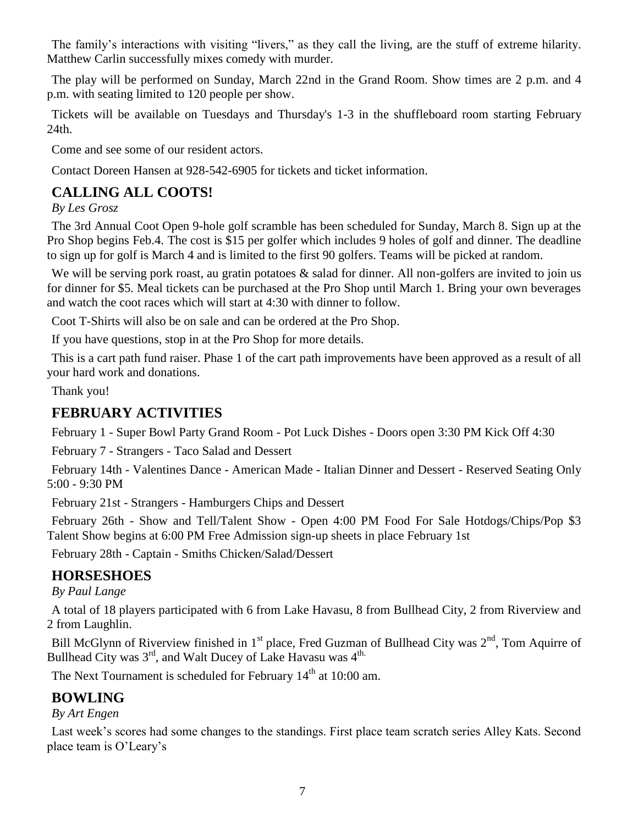The family's interactions with visiting "livers," as they call the living, are the stuff of extreme hilarity. Matthew Carlin successfully mixes comedy with murder.

The play will be performed on Sunday, March 22nd in the Grand Room. Show times are 2 p.m. and 4 p.m. with seating limited to 120 people per show.

Tickets will be available on Tuesdays and Thursday's 1-3 in the shuffleboard room starting February 24th.

Come and see some of our resident actors.

Contact Doreen Hansen at 928-542-6905 for tickets and ticket information.

# **CALLING ALL COOTS!**

*By Les Grosz*

The 3rd Annual Coot Open 9-hole golf scramble has been scheduled for Sunday, March 8. Sign up at the Pro Shop begins Feb.4. The cost is \$15 per golfer which includes 9 holes of golf and dinner. The deadline to sign up for golf is March 4 and is limited to the first 90 golfers. Teams will be picked at random.

We will be serving pork roast, au gratin potatoes & salad for dinner. All non-golfers are invited to join us for dinner for \$5. Meal tickets can be purchased at the Pro Shop until March 1. Bring your own beverages and watch the coot races which will start at 4:30 with dinner to follow.

Coot T-Shirts will also be on sale and can be ordered at the Pro Shop.

If you have questions, stop in at the Pro Shop for more details.

This is a cart path fund raiser. Phase 1 of the cart path improvements have been approved as a result of all your hard work and donations.

Thank you!

# **FEBRUARY ACTIVITIES**

February 1 - Super Bowl Party Grand Room - Pot Luck Dishes - Doors open 3:30 PM Kick Off 4:30

February 7 - Strangers - Taco Salad and Dessert

February 14th - Valentines Dance - American Made - Italian Dinner and Dessert - Reserved Seating Only 5:00 - 9:30 PM

February 21st - Strangers - Hamburgers Chips and Dessert

February 26th - Show and Tell/Talent Show - Open 4:00 PM Food For Sale Hotdogs/Chips/Pop \$3 Talent Show begins at 6:00 PM Free Admission sign-up sheets in place February 1st

February 28th - Captain - Smiths Chicken/Salad/Dessert

# **HORSESHOES**

*By Paul Lange*

A total of 18 players participated with 6 from Lake Havasu, 8 from Bullhead City, 2 from Riverview and 2 from Laughlin.

Bill McGlynn of Riverview finished in  $1<sup>st</sup>$  place, Fred Guzman of Bullhead City was  $2<sup>nd</sup>$ , Tom Aquirre of Bullhead City was  $3^{rd}$ , and Walt Ducey of Lake Havasu was  $4^{th}$ .

The Next Tournament is scheduled for February  $14<sup>th</sup>$  at 10:00 am.

# **BOWLING**

*By Art Engen*

Last week's scores had some changes to the standings. First place team scratch series Alley Kats. Second place team is O'Leary's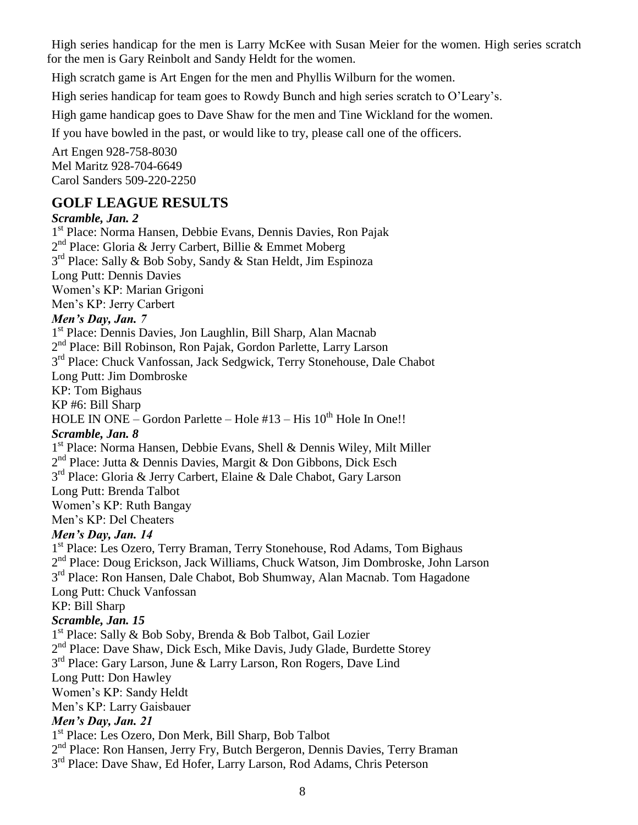High series handicap for the men is Larry McKee with Susan Meier for the women. High series scratch for the men is Gary Reinbolt and Sandy Heldt for the women.

High scratch game is Art Engen for the men and Phyllis Wilburn for the women.

High series handicap for team goes to Rowdy Bunch and high series scratch to O'Leary's.

High game handicap goes to Dave Shaw for the men and Tine Wickland for the women.

If you have bowled in the past, or would like to try, please call one of the officers.

Art Engen 928-758-8030 Mel Maritz 928-704-6649 Carol Sanders 509-220-2250

## **GOLF LEAGUE RESULTS**

### *Scramble, Jan. 2*

1 st Place: Norma Hansen, Debbie Evans, Dennis Davies, Ron Pajak 2<sup>nd</sup> Place: Gloria & Jerry Carbert, Billie & Emmet Moberg 3<sup>rd</sup> Place: Sally & Bob Soby, Sandy & Stan Heldt, Jim Espinoza Long Putt: Dennis Davies Women's KP: Marian Grigoni Men's KP: Jerry Carbert *Men's Day, Jan. 7* 1 st Place: Dennis Davies, Jon Laughlin, Bill Sharp, Alan Macnab 2<sup>nd</sup> Place: Bill Robinson, Ron Pajak, Gordon Parlette, Larry Larson 3<sup>rd</sup> Place: Chuck Vanfossan, Jack Sedgwick, Terry Stonehouse, Dale Chabot Long Putt: Jim Dombroske KP: Tom Bighaus KP #6: Bill Sharp HOLE IN ONE – Gordon Parlette – Hole  $#13 - H$ is  $10^{th}$  Hole In One!! *Scramble, Jan. 8* 1 st Place: Norma Hansen, Debbie Evans, Shell & Dennis Wiley, Milt Miller 2<sup>nd</sup> Place: Jutta & Dennis Davies, Margit & Don Gibbons, Dick Esch 3<sup>rd</sup> Place: Gloria & Jerry Carbert, Elaine & Dale Chabot, Gary Larson Long Putt: Brenda Talbot Women's KP: Ruth Bangay Men's KP: Del Cheaters *Men's Day, Jan. 14* 1<sup>st</sup> Place: Les Ozero, Terry Braman, Terry Stonehouse, Rod Adams, Tom Bighaus 2<sup>nd</sup> Place: Doug Erickson, Jack Williams, Chuck Watson, Jim Dombroske, John Larson 3<sup>rd</sup> Place: Ron Hansen, Dale Chabot, Bob Shumway, Alan Macnab. Tom Hagadone Long Putt: Chuck Vanfossan KP: Bill Sharp *Scramble, Jan. 15* 1<sup>st</sup> Place: Sally & Bob Soby, Brenda & Bob Talbot, Gail Lozier 2<sup>nd</sup> Place: Dave Shaw, Dick Esch, Mike Davis, Judy Glade, Burdette Storey 3<sup>rd</sup> Place: Gary Larson, June & Larry Larson, Ron Rogers, Dave Lind Long Putt: Don Hawley Women's KP: Sandy Heldt Men's KP: Larry Gaisbauer *Men's Day, Jan. 21* 1 st Place: Les Ozero, Don Merk, Bill Sharp, Bob Talbot 2<sup>nd</sup> Place: Ron Hansen, Jerry Fry, Butch Bergeron, Dennis Davies, Terry Braman 3<sup>rd</sup> Place: Dave Shaw, Ed Hofer, Larry Larson, Rod Adams, Chris Peterson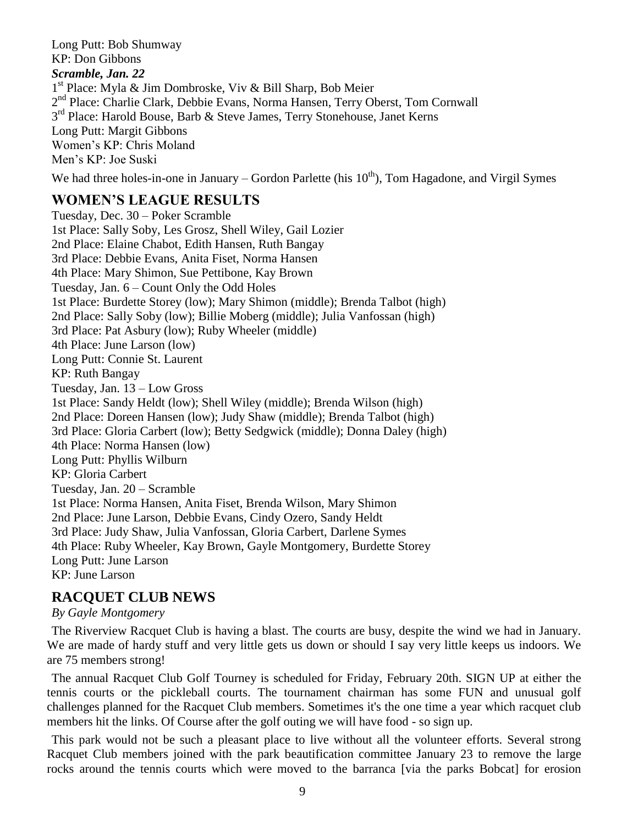Long Putt: Bob Shumway KP: Don Gibbons *Scramble, Jan. 22* 1 st Place: Myla & Jim Dombroske, Viv & Bill Sharp, Bob Meier 2<sup>nd</sup> Place: Charlie Clark, Debbie Evans, Norma Hansen, Terry Oberst, Tom Cornwall 3<sup>rd</sup> Place: Harold Bouse, Barb & Steve James, Terry Stonehouse, Janet Kerns Long Putt: Margit Gibbons Women's KP: Chris Moland Men's KP: Joe Suski

# We had three holes-in-one in January – Gordon Parlette (his  $10^{th}$ ), Tom Hagadone, and Virgil Symes

## **WOMEN'S LEAGUE RESULTS**

Tuesday, Dec. 30 – Poker Scramble 1st Place: Sally Soby, Les Grosz, Shell Wiley, Gail Lozier 2nd Place: Elaine Chabot, Edith Hansen, Ruth Bangay 3rd Place: Debbie Evans, Anita Fiset, Norma Hansen 4th Place: Mary Shimon, Sue Pettibone, Kay Brown Tuesday, Jan. 6 – Count Only the Odd Holes 1st Place: Burdette Storey (low); Mary Shimon (middle); Brenda Talbot (high) 2nd Place: Sally Soby (low); Billie Moberg (middle); Julia Vanfossan (high) 3rd Place: Pat Asbury (low); Ruby Wheeler (middle) 4th Place: June Larson (low) Long Putt: Connie St. Laurent KP: Ruth Bangay Tuesday, Jan. 13 – Low Gross 1st Place: Sandy Heldt (low); Shell Wiley (middle); Brenda Wilson (high) 2nd Place: Doreen Hansen (low); Judy Shaw (middle); Brenda Talbot (high) 3rd Place: Gloria Carbert (low); Betty Sedgwick (middle); Donna Daley (high) 4th Place: Norma Hansen (low) Long Putt: Phyllis Wilburn KP: Gloria Carbert Tuesday, Jan. 20 – Scramble 1st Place: Norma Hansen, Anita Fiset, Brenda Wilson, Mary Shimon 2nd Place: June Larson, Debbie Evans, Cindy Ozero, Sandy Heldt 3rd Place: Judy Shaw, Julia Vanfossan, Gloria Carbert, Darlene Symes 4th Place: Ruby Wheeler, Kay Brown, Gayle Montgomery, Burdette Storey Long Putt: June Larson KP: June Larson

# **RACQUET CLUB NEWS**

*By Gayle Montgomery*

The Riverview Racquet Club is having a blast. The courts are busy, despite the wind we had in January. We are made of hardy stuff and very little gets us down or should I say very little keeps us indoors. We are 75 members strong!

The annual Racquet Club Golf Tourney is scheduled for Friday, February 20th. SIGN UP at either the tennis courts or the pickleball courts. The tournament chairman has some FUN and unusual golf challenges planned for the Racquet Club members. Sometimes it's the one time a year which racquet club members hit the links. Of Course after the golf outing we will have food - so sign up.

This park would not be such a pleasant place to live without all the volunteer efforts. Several strong Racquet Club members joined with the park beautification committee January 23 to remove the large rocks around the tennis courts which were moved to the barranca [via the parks Bobcat] for erosion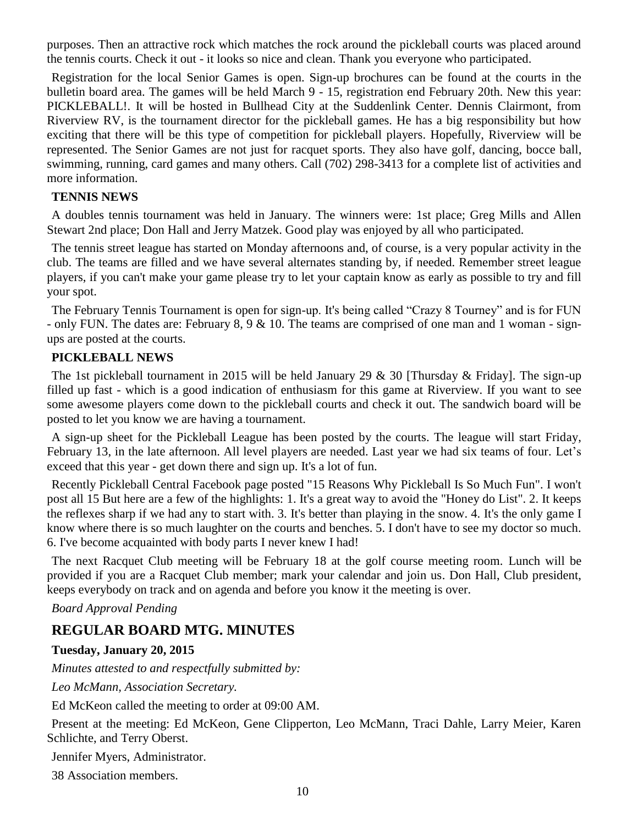purposes. Then an attractive rock which matches the rock around the pickleball courts was placed around the tennis courts. Check it out - it looks so nice and clean. Thank you everyone who participated.

Registration for the local Senior Games is open. Sign-up brochures can be found at the courts in the bulletin board area. The games will be held March 9 - 15, registration end February 20th. New this year: PICKLEBALL!. It will be hosted in Bullhead City at the Suddenlink Center. Dennis Clairmont, from Riverview RV, is the tournament director for the pickleball games. He has a big responsibility but how exciting that there will be this type of competition for pickleball players. Hopefully, Riverview will be represented. The Senior Games are not just for racquet sports. They also have golf, dancing, bocce ball, swimming, running, card games and many others. Call (702) 298-3413 for a complete list of activities and more information.

#### **TENNIS NEWS**

A doubles tennis tournament was held in January. The winners were: 1st place; Greg Mills and Allen Stewart 2nd place; Don Hall and Jerry Matzek. Good play was enjoyed by all who participated.

The tennis street league has started on Monday afternoons and, of course, is a very popular activity in the club. The teams are filled and we have several alternates standing by, if needed. Remember street league players, if you can't make your game please try to let your captain know as early as possible to try and fill your spot.

The February Tennis Tournament is open for sign-up. It's being called "Crazy 8 Tourney" and is for FUN - only FUN. The dates are: February 8, 9 & 10. The teams are comprised of one man and 1 woman - signups are posted at the courts.

#### **PICKLEBALL NEWS**

The 1st pickleball tournament in 2015 will be held January 29 & 30 [Thursday & Friday]. The sign-up filled up fast - which is a good indication of enthusiasm for this game at Riverview. If you want to see some awesome players come down to the pickleball courts and check it out. The sandwich board will be posted to let you know we are having a tournament.

A sign-up sheet for the Pickleball League has been posted by the courts. The league will start Friday, February 13, in the late afternoon. All level players are needed. Last year we had six teams of four. Let's exceed that this year - get down there and sign up. It's a lot of fun.

Recently Pickleball Central Facebook page posted "15 Reasons Why Pickleball Is So Much Fun". I won't post all 15 But here are a few of the highlights: 1. It's a great way to avoid the "Honey do List". 2. It keeps the reflexes sharp if we had any to start with. 3. It's better than playing in the snow. 4. It's the only game I know where there is so much laughter on the courts and benches. 5. I don't have to see my doctor so much. 6. I've become acquainted with body parts I never knew I had!

The next Racquet Club meeting will be February 18 at the golf course meeting room. Lunch will be provided if you are a Racquet Club member; mark your calendar and join us. Don Hall, Club president, keeps everybody on track and on agenda and before you know it the meeting is over.

*Board Approval Pending*

### **REGULAR BOARD MTG. MINUTES**

#### **Tuesday, January 20, 2015**

*Minutes attested to and respectfully submitted by:*

*Leo McMann, Association Secretary.*

Ed McKeon called the meeting to order at 09:00 AM.

Present at the meeting: Ed McKeon, Gene Clipperton, Leo McMann, Traci Dahle, Larry Meier, Karen Schlichte, and Terry Oberst.

Jennifer Myers, Administrator.

38 Association members.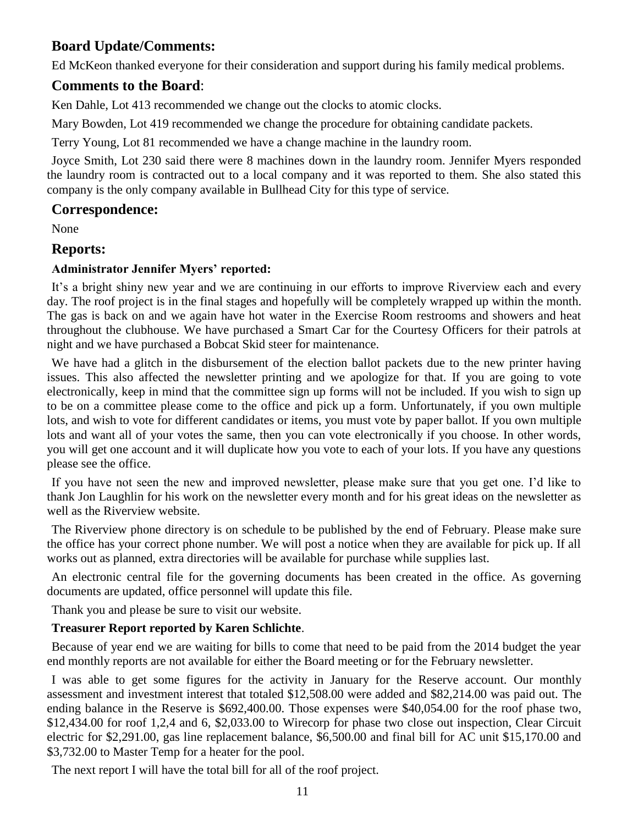## **Board Update/Comments:**

Ed McKeon thanked everyone for their consideration and support during his family medical problems.

## **Comments to the Board**:

Ken Dahle, Lot 413 recommended we change out the clocks to atomic clocks.

Mary Bowden, Lot 419 recommended we change the procedure for obtaining candidate packets.

Terry Young, Lot 81 recommended we have a change machine in the laundry room.

Joyce Smith, Lot 230 said there were 8 machines down in the laundry room. Jennifer Myers responded the laundry room is contracted out to a local company and it was reported to them. She also stated this company is the only company available in Bullhead City for this type of service.

## **Correspondence:**

None

## **Reports:**

## **Administrator Jennifer Myers' reported:**

It's a bright shiny new year and we are continuing in our efforts to improve Riverview each and every day. The roof project is in the final stages and hopefully will be completely wrapped up within the month. The gas is back on and we again have hot water in the Exercise Room restrooms and showers and heat throughout the clubhouse. We have purchased a Smart Car for the Courtesy Officers for their patrols at night and we have purchased a Bobcat Skid steer for maintenance.

We have had a glitch in the disbursement of the election ballot packets due to the new printer having issues. This also affected the newsletter printing and we apologize for that. If you are going to vote electronically, keep in mind that the committee sign up forms will not be included. If you wish to sign up to be on a committee please come to the office and pick up a form. Unfortunately, if you own multiple lots, and wish to vote for different candidates or items, you must vote by paper ballot. If you own multiple lots and want all of your votes the same, then you can vote electronically if you choose. In other words, you will get one account and it will duplicate how you vote to each of your lots. If you have any questions please see the office.

If you have not seen the new and improved newsletter, please make sure that you get one. I'd like to thank Jon Laughlin for his work on the newsletter every month and for his great ideas on the newsletter as well as the Riverview website.

The Riverview phone directory is on schedule to be published by the end of February. Please make sure the office has your correct phone number. We will post a notice when they are available for pick up. If all works out as planned, extra directories will be available for purchase while supplies last.

An electronic central file for the governing documents has been created in the office. As governing documents are updated, office personnel will update this file.

Thank you and please be sure to visit our website.

## **Treasurer Report reported by Karen Schlichte**.

Because of year end we are waiting for bills to come that need to be paid from the 2014 budget the year end monthly reports are not available for either the Board meeting or for the February newsletter.

I was able to get some figures for the activity in January for the Reserve account. Our monthly assessment and investment interest that totaled \$12,508.00 were added and \$82,214.00 was paid out. The ending balance in the Reserve is \$692,400.00. Those expenses were \$40,054.00 for the roof phase two, \$12,434.00 for roof 1,2,4 and 6, \$2,033.00 to Wirecorp for phase two close out inspection, Clear Circuit electric for \$2,291.00, gas line replacement balance, \$6,500.00 and final bill for AC unit \$15,170.00 and \$3,732.00 to Master Temp for a heater for the pool.

The next report I will have the total bill for all of the roof project.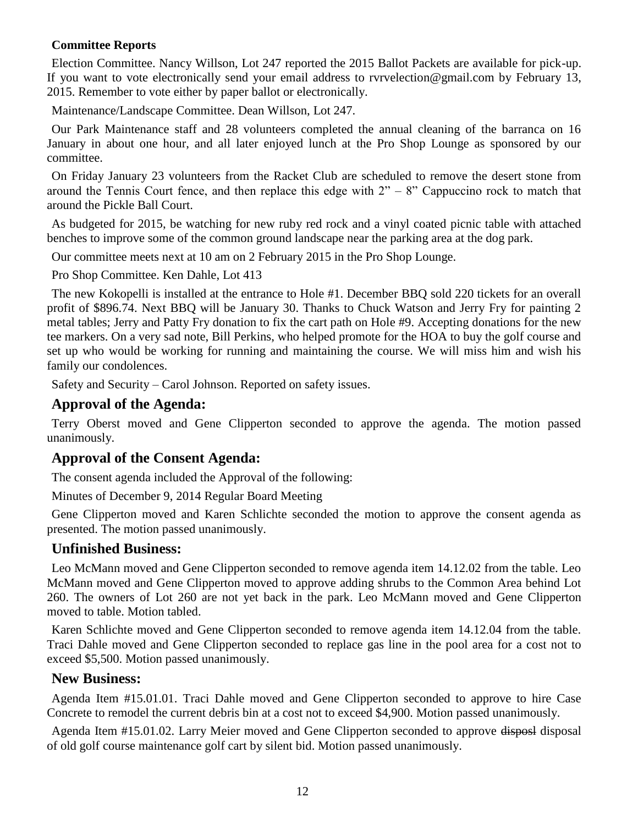### **Committee Reports**

Election Committee. Nancy Willson, Lot 247 reported the 2015 Ballot Packets are available for pick-up. If you want to vote electronically send your email address to [rvrvelection@gmail.com](mailto:rvrvelection@gmail.com) by February 13, 2015. Remember to vote either by paper ballot or electronically.

Maintenance/Landscape Committee. Dean Willson, Lot 247.

Our Park Maintenance staff and 28 volunteers completed the annual cleaning of the barranca on 16 January in about one hour, and all later enjoyed lunch at the Pro Shop Lounge as sponsored by our committee.

On Friday January 23 volunteers from the Racket Club are scheduled to remove the desert stone from around the Tennis Court fence, and then replace this edge with  $2<sup>n</sup> - 8<sup>n</sup>$  Cappuccino rock to match that around the Pickle Ball Court.

As budgeted for 2015, be watching for new ruby red rock and a vinyl coated picnic table with attached benches to improve some of the common ground landscape near the parking area at the dog park.

Our committee meets next at 10 am on 2 February 2015 in the Pro Shop Lounge.

Pro Shop Committee. Ken Dahle, Lot 413

The new Kokopelli is installed at the entrance to Hole #1. December BBQ sold 220 tickets for an overall profit of \$896.74. Next BBQ will be January 30. Thanks to Chuck Watson and Jerry Fry for painting 2 metal tables; Jerry and Patty Fry donation to fix the cart path on Hole #9. Accepting donations for the new tee markers. On a very sad note, Bill Perkins, who helped promote for the HOA to buy the golf course and set up who would be working for running and maintaining the course. We will miss him and wish his family our condolences.

Safety and Security – Carol Johnson. Reported on safety issues.

## **Approval of the Agenda:**

Terry Oberst moved and Gene Clipperton seconded to approve the agenda. The motion passed unanimously.

## **Approval of the Consent Agenda:**

The consent agenda included the Approval of the following:

Minutes of December 9, 2014 Regular Board Meeting

Gene Clipperton moved and Karen Schlichte seconded the motion to approve the consent agenda as presented. The motion passed unanimously.

## **Unfinished Business:**

Leo McMann moved and Gene Clipperton seconded to remove agenda item 14.12.02 from the table. Leo McMann moved and Gene Clipperton moved to approve adding shrubs to the Common Area behind Lot 260. The owners of Lot 260 are not yet back in the park. Leo McMann moved and Gene Clipperton moved to table. Motion tabled.

Karen Schlichte moved and Gene Clipperton seconded to remove agenda item 14.12.04 from the table. Traci Dahle moved and Gene Clipperton seconded to replace gas line in the pool area for a cost not to exceed \$5,500. Motion passed unanimously.

## **New Business:**

Agenda Item #15.01.01. Traci Dahle moved and Gene Clipperton seconded to approve to hire Case Concrete to remodel the current debris bin at a cost not to exceed \$4,900. Motion passed unanimously.

Agenda Item #15.01.02. Larry Meier moved and Gene Clipperton seconded to approve disposal disposal of old golf course maintenance golf cart by silent bid. Motion passed unanimously.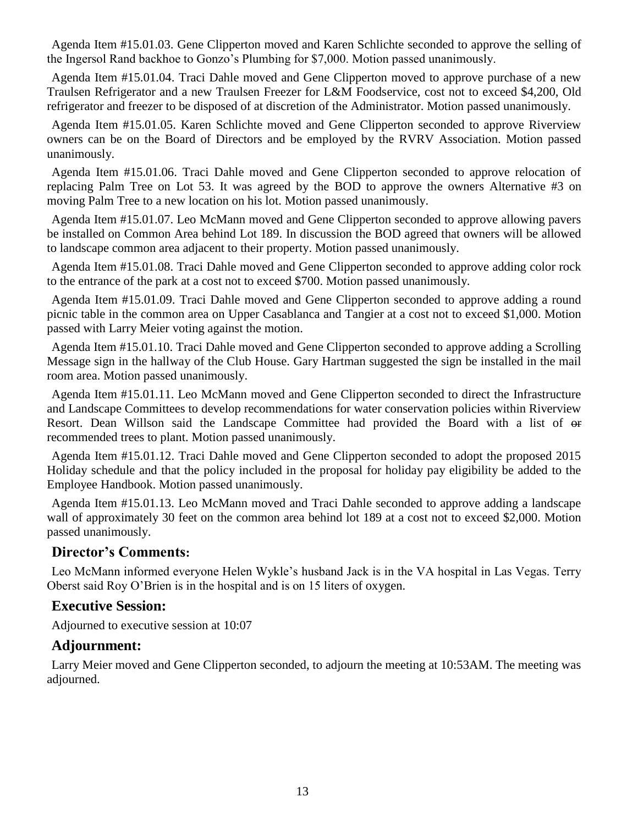Agenda Item #15.01.03. Gene Clipperton moved and Karen Schlichte seconded to approve the selling of the Ingersol Rand backhoe to Gonzo's Plumbing for \$7,000. Motion passed unanimously.

Agenda Item #15.01.04. Traci Dahle moved and Gene Clipperton moved to approve purchase of a new Traulsen Refrigerator and a new Traulsen Freezer for L&M Foodservice, cost not to exceed \$4,200, Old refrigerator and freezer to be disposed of at discretion of the Administrator. Motion passed unanimously.

Agenda Item #15.01.05. Karen Schlichte moved and Gene Clipperton seconded to approve Riverview owners can be on the Board of Directors and be employed by the RVRV Association. Motion passed unanimously.

Agenda Item #15.01.06. Traci Dahle moved and Gene Clipperton seconded to approve relocation of replacing Palm Tree on Lot 53. It was agreed by the BOD to approve the owners Alternative #3 on moving Palm Tree to a new location on his lot. Motion passed unanimously.

Agenda Item #15.01.07. Leo McMann moved and Gene Clipperton seconded to approve allowing pavers be installed on Common Area behind Lot 189. In discussion the BOD agreed that owners will be allowed to landscape common area adjacent to their property. Motion passed unanimously.

Agenda Item #15.01.08. Traci Dahle moved and Gene Clipperton seconded to approve adding color rock to the entrance of the park at a cost not to exceed \$700. Motion passed unanimously.

Agenda Item #15.01.09. Traci Dahle moved and Gene Clipperton seconded to approve adding a round picnic table in the common area on Upper Casablanca and Tangier at a cost not to exceed \$1,000. Motion passed with Larry Meier voting against the motion.

Agenda Item #15.01.10. Traci Dahle moved and Gene Clipperton seconded to approve adding a Scrolling Message sign in the hallway of the Club House. Gary Hartman suggested the sign be installed in the mail room area. Motion passed unanimously.

Agenda Item #15.01.11. Leo McMann moved and Gene Clipperton seconded to direct the Infrastructure and Landscape Committees to develop recommendations for water conservation policies within Riverview Resort. Dean Willson said the Landscape Committee had provided the Board with a list of  $\Theta$ recommended trees to plant. Motion passed unanimously.

Agenda Item #15.01.12. Traci Dahle moved and Gene Clipperton seconded to adopt the proposed 2015 Holiday schedule and that the policy included in the proposal for holiday pay eligibility be added to the Employee Handbook. Motion passed unanimously.

Agenda Item #15.01.13. Leo McMann moved and Traci Dahle seconded to approve adding a landscape wall of approximately 30 feet on the common area behind lot 189 at a cost not to exceed \$2,000. Motion passed unanimously.

## **Director's Comments:**

Leo McMann informed everyone Helen Wykle's husband Jack is in the VA hospital in Las Vegas. Terry Oberst said Roy O'Brien is in the hospital and is on 15 liters of oxygen.

## **Executive Session:**

Adjourned to executive session at 10:07

## **Adjournment:**

Larry Meier moved and Gene Clipperton seconded, to adjourn the meeting at 10:53AM. The meeting was adjourned.